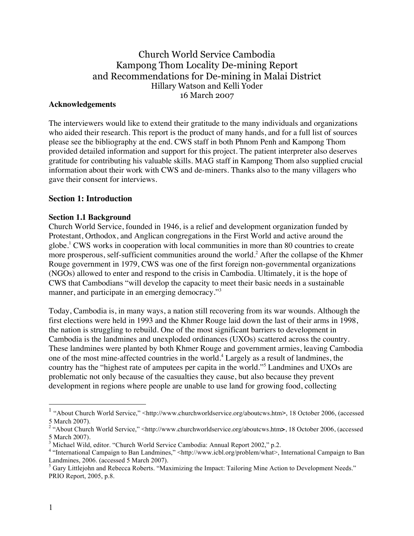Church World Service Cambodia Kampong Thom Locality De-mining Report and Recommendations for De-mining in Malai District Hillary Watson and Kelli Yoder 16 March 2007

#### **Acknowledgements**

The interviewers would like to extend their gratitude to the many individuals and organizations who aided their research. This report is the product of many hands, and for a full list of sources please see the bibliography at the end. CWS staff in both Phnom Penh and Kampong Thom provided detailed information and support for this project. The patient interpreter also deserves gratitude for contributing his valuable skills. MAG staff in Kampong Thom also supplied crucial information about their work with CWS and de-miners. Thanks also to the many villagers who gave their consent for interviews.

#### **Section 1: Introduction**

#### **Section 1.1 Background**

Church World Service, founded in 1946, is a relief and development organization funded by Protestant, Orthodox, and Anglican congregations in the First World and active around the globe.<sup>1</sup> CWS works in cooperation with local communities in more than 80 countries to create more prosperous, self-sufficient communities around the world.<sup>2</sup> After the collapse of the Khmer Rouge government in 1979, CWS was one of the first foreign non-governmental organizations (NGOs) allowed to enter and respond to the crisis in Cambodia. Ultimately, it is the hope of CWS that Cambodians "will develop the capacity to meet their basic needs in a sustainable manner, and participate in an emerging democracy."<sup>3</sup>

Today, Cambodia is, in many ways, a nation still recovering from its war wounds. Although the first elections were held in 1993 and the Khmer Rouge laid down the last of their arms in 1998, the nation is struggling to rebuild. One of the most significant barriers to development in Cambodia is the landmines and unexploded ordinances (UXOs) scattered across the country. These landmines were planted by both Khmer Rouge and government armies, leaving Cambodia one of the most mine-affected countries in the world. <sup>4</sup> Largely as a result of landmines, the country has the "highest rate of amputees per capita in the world."<sup>5</sup> Landmines and UXOs are problematic not only because of the casualties they cause, but also because they prevent development in regions where people are unable to use land for growing food, collecting

 <sup>1</sup> "About Church World Service," <http://www.churchworldservice.org/aboutcws.htm**>**, 18 October 2006, (accessed 5 March 2007).

<sup>2</sup> "About Church World Service," <http://www.churchworldservice.org/aboutcws.htm**>**, 18 October 2006, (accessed 5 March 2007).<br><sup>3</sup> Michael Wild. editor. "Church World Service Cambodia: Annual Report 2002." p.2.

<sup>&</sup>lt;sup>4</sup> "International Campaign to Ban Landmines," <http://www.icbl.org/problem/what>, International Campaign to Ban Landmines, 2006. (accessed 5 March 2007).

<sup>&</sup>lt;sup>5</sup> Gary Littlejohn and Rebecca Roberts. "Maximizing the Impact: Tailoring Mine Action to Development Needs." PRIO Report, 2005, p.8.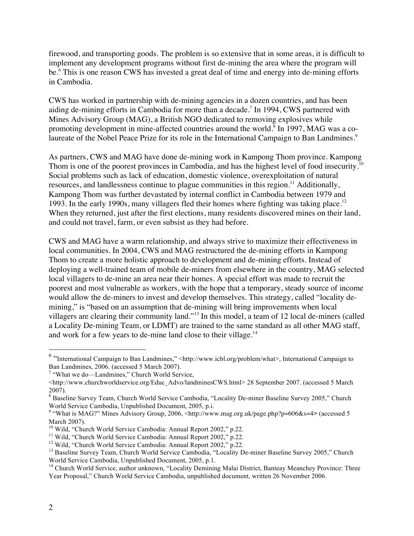firewood, and transporting goods. The problem is so extensive that in some areas, it is difficult to implement any development programs without first de-mining the area where the program will be. <sup>6</sup> This is one reason CWS has invested a great deal of time and energy into de-mining efforts in Cambodia.

CWS has worked in partnership with de-mining agencies in a dozen countries, and has been aiding de-mining efforts in Cambodia for more than a decade. <sup>7</sup> In 1994, CWS partnered with Mines Advisory Group (MAG), a British NGO dedicated to removing explosives while promoting development in mine-affected countries around the world. <sup>8</sup> In 1997, MAG was a colaureate of the Nobel Peace Prize for its role in the International Campaign to Ban Landmines.<sup>9</sup>

As partners, CWS and MAG have done de-mining work in Kampong Thom province. Kampong Thom is one of the poorest provinces in Cambodia, and has the highest level of food insecurity.<sup>10</sup> Social problems such as lack of education, domestic violence, overexploitation of natural resources, and landlessness continue to plague communities in this region.<sup>11</sup> Additionally, Kampong Thom was further devastated by internal conflict in Cambodia between 1979 and 1993. In the early 1990s, many villagers fled their homes where fighting was taking place.<sup>12</sup> When they returned, just after the first elections, many residents discovered mines on their land, and could not travel, farm, or even subsist as they had before.

CWS and MAG have a warm relationship, and always strive to maximize their effectiveness in local communities. In 2004, CWS and MAG restructured the de-mining efforts in Kampong Thom to create a more holistic approach to development and de-mining efforts. Instead of deploying a well-trained team of mobile de-miners from elsewhere in the country, MAG selected local villagers to de-mine an area near their homes. A special effort was made to recruit the poorest and most vulnerable as workers, with the hope that a temporary, steady source of income would allow the de-miners to invest and develop themselves. This strategy, called "locality demining," is "based on an assumption that de-mining will bring improvements when local villagers are clearing their community land."<sup>13</sup> In this model, a team of 12 local de-miners (called a Locality De-mining Team, or LDMT) are trained to the same standard as all other MAG staff, and work for a few years to de-mine land close to their village.<sup>14</sup>

 <sup>6</sup> "International Campaign to Ban Landmines," <http://www.icbl.org/problem/what>, International Campaign to Ban Landmines, 2006. (accessed 5 March 2007).

<sup>7</sup> "What we do—Landmines," Church World Service,

<sup>&</sup>lt;http://www.churchworldservice.org/Educ\_Advo/landminesCWS.html> 28 September 2007. (accessed 5 March 2007).

<sup>&</sup>lt;sup>8</sup> Baseline Survey Team, Church World Service Cambodia, "Locality De-miner Baseline Survey 2005," Church World Service Cambodia, Unpublished Document, 2005, p.i.

what is MAG?" Mines Advisory Group, 2006, <http://www.mag.org.uk/page.php?p=606&s=4> (accessed 5 March 2007).<br><sup>10</sup> Wild, "Church World Service Cambodia: Annual Report 2002," p.22.

<sup>&</sup>lt;sup>11</sup> Wild, "Church World Service Cambodia: Annual Report 2002," p.22.<br><sup>12</sup> Wild, "Church World Service Cambodia: Annual Report 2002," p.22.<br><sup>13</sup> Baseline Survey Team, Church World Service Cambodia, "Locality De-miner Base

 $14$  Church World Service, author unknown, "Locality Demining Malai District, Banteay Meanchey Province: Three Year Proposal," Church World Service Cambodia, unpublished document, written 26 November 2006.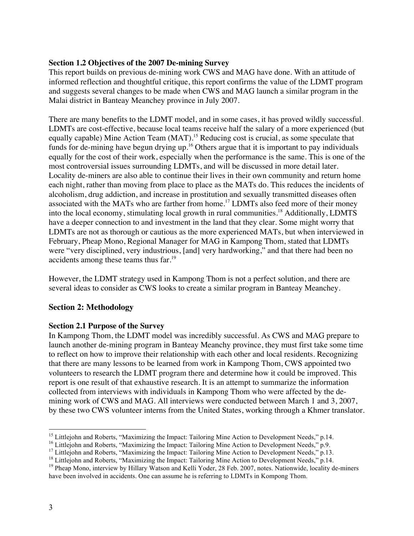### **Section 1.2 Objectives of the 2007 De-mining Survey**

This report builds on previous de-mining work CWS and MAG have done. With an attitude of informed reflection and thoughtful critique, this report confirms the value of the LDMT program and suggests several changes to be made when CWS and MAG launch a similar program in the Malai district in Banteay Meanchey province in July 2007.

There are many benefits to the LDMT model, and in some cases, it has proved wildly successful. LDMTs are cost-effective, because local teams receive half the salary of a more experienced (but equally capable) Mine Action Team (MAT).<sup>15</sup> Reducing cost is crucial, as some speculate that funds for de-mining have begun drying up.<sup>16</sup> Others argue that it is important to pay individuals equally for the cost of their work, especially when the performance is the same. This is one of the most controversial issues surrounding LDMTs, and will be discussed in more detail later. Locality de-miners are also able to continue their lives in their own community and return home each night, rather than moving from place to place as the MATs do. This reduces the incidents of alcoholism, drug addiction, and increase in prostitution and sexually transmitted diseases often associated with the MATs who are farther from home.<sup>17</sup> LDMTs also feed more of their money into the local economy, stimulating local growth in rural communities.<sup>18</sup> Additionally, LDMTS have a deeper connection to and investment in the land that they clear. Some might worry that LDMTs are not as thorough or cautious as the more experienced MATs, but when interviewed in February, Pheap Mono, Regional Manager for MAG in Kampong Thom, stated that LDMTs were "very disciplined, very industrious, [and] very hardworking," and that there had been no accidents among these teams thus far.<sup>19</sup>

However, the LDMT strategy used in Kampong Thom is not a perfect solution, and there are several ideas to consider as CWS looks to create a similar program in Banteay Meanchey.

## **Section 2: Methodology**

#### **Section 2.1 Purpose of the Survey**

In Kampong Thom, the LDMT model was incredibly successful. As CWS and MAG prepare to launch another de-mining program in Banteay Meanchy province, they must first take some time to reflect on how to improve their relationship with each other and local residents. Recognizing that there are many lessons to be learned from work in Kampong Thom, CWS appointed two volunteers to research the LDMT program there and determine how it could be improved. This report is one result of that exhaustive research. It is an attempt to summarize the information collected from interviews with individuals in Kampong Thom who were affected by the demining work of CWS and MAG. All interviews were conducted between March 1 and 3, 2007, by these two CWS volunteer interns from the United States, working through a Khmer translator.

<sup>&</sup>lt;sup>15</sup> Littlejohn and Roberts, "Maximizing the Impact: Tailoring Mine Action to Development Needs," p.14.<br><sup>16</sup> Littlejohn and Roberts, "Maximizing the Impact: Tailoring Mine Action to Development Needs," p.9.<br><sup>17</sup> Littlejoh have been involved in accidents. One can assume he is referring to LDMTs in Kompong Thom.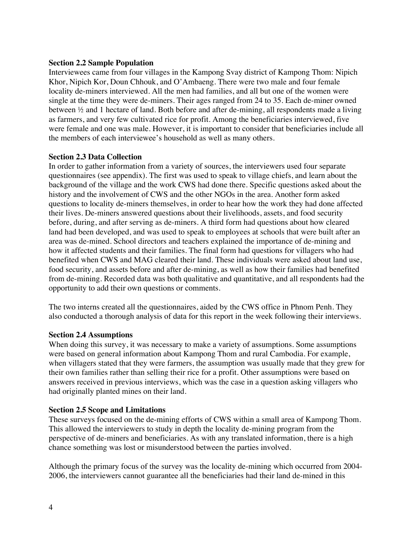#### **Section 2.2 Sample Population**

Interviewees came from four villages in the Kampong Svay district of Kampong Thom: Nipich Khor, Nipich Kor, Doun Chhouk, and O'Ambaeng. There were two male and four female locality de-miners interviewed. All the men had families, and all but one of the women were single at the time they were de-miners. Their ages ranged from 24 to 35. Each de-miner owned between ½ and 1 hectare of land. Both before and after de-mining, all respondents made a living as farmers, and very few cultivated rice for profit. Among the beneficiaries interviewed, five were female and one was male. However, it is important to consider that beneficiaries include all the members of each interviewee's household as well as many others.

### **Section 2.3 Data Collection**

In order to gather information from a variety of sources, the interviewers used four separate questionnaires (see appendix). The first was used to speak to village chiefs, and learn about the background of the village and the work CWS had done there. Specific questions asked about the history and the involvement of CWS and the other NGOs in the area. Another form asked questions to locality de-miners themselves, in order to hear how the work they had done affected their lives. De-miners answered questions about their livelihoods, assets, and food security before, during, and after serving as de-miners. A third form had questions about how cleared land had been developed, and was used to speak to employees at schools that were built after an area was de-mined. School directors and teachers explained the importance of de-mining and how it affected students and their families. The final form had questions for villagers who had benefited when CWS and MAG cleared their land. These individuals were asked about land use, food security, and assets before and after de-mining, as well as how their families had benefited from de-mining. Recorded data was both qualitative and quantitative, and all respondents had the opportunity to add their own questions or comments.

The two interns created all the questionnaires, aided by the CWS office in Phnom Penh. They also conducted a thorough analysis of data for this report in the week following their interviews.

## **Section 2.4 Assumptions**

When doing this survey, it was necessary to make a variety of assumptions. Some assumptions were based on general information about Kampong Thom and rural Cambodia. For example, when villagers stated that they were farmers, the assumption was usually made that they grew for their own families rather than selling their rice for a profit. Other assumptions were based on answers received in previous interviews, which was the case in a question asking villagers who had originally planted mines on their land.

#### **Section 2.5 Scope and Limitations**

These surveys focused on the de-mining efforts of CWS within a small area of Kampong Thom. This allowed the interviewers to study in depth the locality de-mining program from the perspective of de-miners and beneficiaries. As with any translated information, there is a high chance something was lost or misunderstood between the parties involved.

Although the primary focus of the survey was the locality de-mining which occurred from 2004- 2006, the interviewers cannot guarantee all the beneficiaries had their land de-mined in this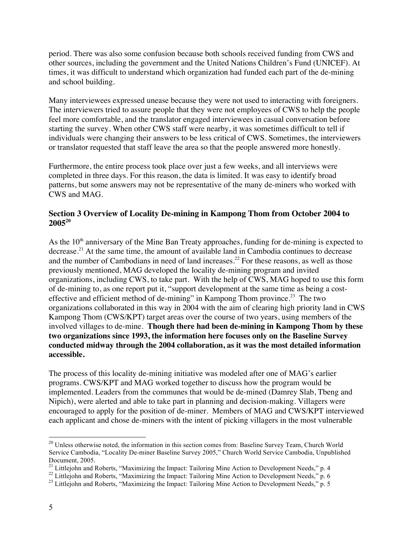period. There was also some confusion because both schools received funding from CWS and other sources, including the government and the United Nations Children's Fund (UNICEF). At times, it was difficult to understand which organization had funded each part of the de-mining and school building.

Many interviewees expressed unease because they were not used to interacting with foreigners. The interviewers tried to assure people that they were not employees of CWS to help the people feel more comfortable, and the translator engaged interviewees in casual conversation before starting the survey. When other CWS staff were nearby, it was sometimes difficult to tell if individuals were changing their answers to be less critical of CWS. Sometimes, the interviewers or translator requested that staff leave the area so that the people answered more honestly.

Furthermore, the entire process took place over just a few weeks, and all interviews were completed in three days. For this reason, the data is limited. It was easy to identify broad patterns, but some answers may not be representative of the many de-miners who worked with CWS and MAG.

## **Section 3 Overview of Locality De-mining in Kampong Thom from October 2004 to 200520**

As the  $10<sup>th</sup>$  anniversary of the Mine Ban Treaty approaches, funding for de-mining is expected to decrease.<sup>21</sup> At the same time, the amount of available land in Cambodia continues to decrease and the number of Cambodians in need of land increases.<sup>22</sup> For these reasons, as well as those previously mentioned, MAG developed the locality de-mining program and invited organizations, including CWS, to take part. With the help of CWS, MAG hoped to use this form of de-mining to, as one report put it, "support development at the same time as being a costeffective and efficient method of de-mining" in Kampong Thom province.<sup>23</sup> The two organizations collaborated in this way in 2004 with the aim of clearing high priority land in CWS Kampong Thom (CWS/KPT) target areas over the course of two years, using members of the involved villages to de-mine. **Though there had been de-mining in Kampong Thom by these two organizations since 1993, the information here focuses only on the Baseline Survey conducted midway through the 2004 collaboration, as it was the most detailed information accessible.**

The process of this locality de-mining initiative was modeled after one of MAG's earlier programs. CWS/KPT and MAG worked together to discuss how the program would be implemented. Leaders from the communes that would be de-mined (Damrey Slab, Tbeng and Nipich), were alerted and able to take part in planning and decision-making. Villagers were encouraged to apply for the position of de-miner. Members of MAG and CWS/KPT interviewed each applicant and chose de-miners with the intent of picking villagers in the most vulnerable

<sup>&</sup>lt;sup>20</sup> Unless otherwise noted, the information in this section comes from: Baseline Survey Team, Church World Service Cambodia, "Locality De-miner Baseline Survey 2005," Church World Service Cambodia, Unpublished

Document, 2005.<br><sup>21</sup> Littlejohn and Roberts, "Maximizing the Impact: Tailoring Mine Action to Development Needs," p. 4<br><sup>22</sup> Littlejohn and Roberts, "Maximizing the Impact: Tailoring Mine Action to Development Needs," p. 6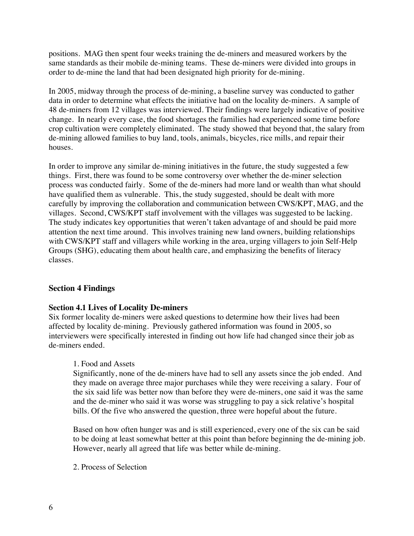positions. MAG then spent four weeks training the de-miners and measured workers by the same standards as their mobile de-mining teams. These de-miners were divided into groups in order to de-mine the land that had been designated high priority for de-mining.

In 2005, midway through the process of de-mining, a baseline survey was conducted to gather data in order to determine what effects the initiative had on the locality de-miners. A sample of 48 de-miners from 12 villages was interviewed. Their findings were largely indicative of positive change. In nearly every case, the food shortages the families had experienced some time before crop cultivation were completely eliminated. The study showed that beyond that, the salary from de-mining allowed families to buy land, tools, animals, bicycles, rice mills, and repair their houses.

In order to improve any similar de-mining initiatives in the future, the study suggested a few things. First, there was found to be some controversy over whether the de-miner selection process was conducted fairly. Some of the de-miners had more land or wealth than what should have qualified them as vulnerable. This, the study suggested, should be dealt with more carefully by improving the collaboration and communication between CWS/KPT, MAG, and the villages. Second, CWS/KPT staff involvement with the villages was suggested to be lacking. The study indicates key opportunities that weren't taken advantage of and should be paid more attention the next time around. This involves training new land owners, building relationships with CWS/KPT staff and villagers while working in the area, urging villagers to join Self-Help Groups (SHG), educating them about health care, and emphasizing the benefits of literacy classes.

## **Section 4 Findings**

#### **Section 4.1 Lives of Locality De-miners**

Six former locality de-miners were asked questions to determine how their lives had been affected by locality de-mining. Previously gathered information was found in 2005, so interviewers were specifically interested in finding out how life had changed since their job as de-miners ended.

#### 1. Food and Assets

Significantly, none of the de-miners have had to sell any assets since the job ended. And they made on average three major purchases while they were receiving a salary. Four of the six said life was better now than before they were de-miners, one said it was the same and the de-miner who said it was worse was struggling to pay a sick relative's hospital bills. Of the five who answered the question, three were hopeful about the future.

Based on how often hunger was and is still experienced, every one of the six can be said to be doing at least somewhat better at this point than before beginning the de-mining job. However, nearly all agreed that life was better while de-mining.

2. Process of Selection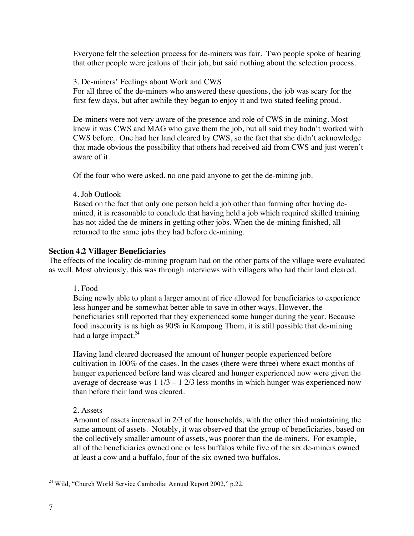Everyone felt the selection process for de-miners was fair. Two people spoke of hearing that other people were jealous of their job, but said nothing about the selection process.

3. De-miners' Feelings about Work and CWS

For all three of the de-miners who answered these questions, the job was scary for the first few days, but after awhile they began to enjoy it and two stated feeling proud.

De-miners were not very aware of the presence and role of CWS in de-mining. Most knew it was CWS and MAG who gave them the job, but all said they hadn't worked with CWS before. One had her land cleared by CWS, so the fact that she didn't acknowledge that made obvious the possibility that others had received aid from CWS and just weren't aware of it.

Of the four who were asked, no one paid anyone to get the de-mining job.

4. Job Outlook

Based on the fact that only one person held a job other than farming after having demined, it is reasonable to conclude that having held a job which required skilled training has not aided the de-miners in getting other jobs. When the de-mining finished, all returned to the same jobs they had before de-mining.

#### **Section 4.2 Villager Beneficiaries**

The effects of the locality de-mining program had on the other parts of the village were evaluated as well. Most obviously, this was through interviews with villagers who had their land cleared.

1. Food

Being newly able to plant a larger amount of rice allowed for beneficiaries to experience less hunger and be somewhat better able to save in other ways. However, the beneficiaries still reported that they experienced some hunger during the year. Because food insecurity is as high as 90% in Kampong Thom, it is still possible that de-mining had a large impact.<sup>24</sup>

Having land cleared decreased the amount of hunger people experienced before cultivation in 100% of the cases. In the cases (there were three) where exact months of hunger experienced before land was cleared and hunger experienced now were given the average of decrease was  $1 \frac{1}{3} - 1 \frac{2}{3}$  less months in which hunger was experienced now than before their land was cleared.

2. Assets

Amount of assets increased in 2/3 of the households, with the other third maintaining the same amount of assets. Notably, it was observed that the group of beneficiaries, based on the collectively smaller amount of assets, was poorer than the de-miners. For example, all of the beneficiaries owned one or less buffalos while five of the six de-miners owned at least a cow and a buffalo, four of the six owned two buffalos.

<sup>&</sup>lt;sup>24</sup> Wild, "Church World Service Cambodia: Annual Report 2002," p.22.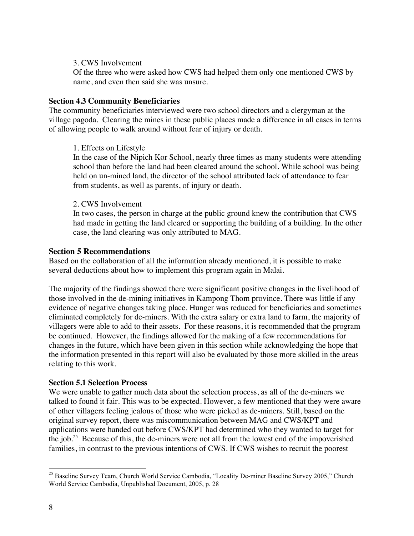#### 3. CWS Involvement

Of the three who were asked how CWS had helped them only one mentioned CWS by name, and even then said she was unsure.

#### **Section 4.3 Community Beneficiaries**

The community beneficiaries interviewed were two school directors and a clergyman at the village pagoda. Clearing the mines in these public places made a difference in all cases in terms of allowing people to walk around without fear of injury or death.

### 1. Effects on Lifestyle

In the case of the Nipich Kor School, nearly three times as many students were attending school than before the land had been cleared around the school. While school was being held on un-mined land, the director of the school attributed lack of attendance to fear from students, as well as parents, of injury or death.

### 2. CWS Involvement

In two cases, the person in charge at the public ground knew the contribution that CWS had made in getting the land cleared or supporting the building of a building. In the other case, the land clearing was only attributed to MAG.

## **Section 5 Recommendations**

Based on the collaboration of all the information already mentioned, it is possible to make several deductions about how to implement this program again in Malai.

The majority of the findings showed there were significant positive changes in the livelihood of those involved in the de-mining initiatives in Kampong Thom province. There was little if any evidence of negative changes taking place. Hunger was reduced for beneficiaries and sometimes eliminated completely for de-miners. With the extra salary or extra land to farm, the majority of villagers were able to add to their assets. For these reasons, it is recommended that the program be continued. However, the findings allowed for the making of a few recommendations for changes in the future, which have been given in this section while acknowledging the hope that the information presented in this report will also be evaluated by those more skilled in the areas relating to this work.

#### **Section 5.1 Selection Process**

We were unable to gather much data about the selection process, as all of the de-miners we talked to found it fair. This was to be expected. However, a few mentioned that they were aware of other villagers feeling jealous of those who were picked as de-miners. Still, based on the original survey report, there was miscommunication between MAG and CWS/KPT and applications were handed out before CWS/KPT had determined who they wanted to target for the job.<sup>25</sup> Because of this, the de-miners were not all from the lowest end of the impoverished families, in contrast to the previous intentions of CWS. If CWS wishes to recruit the poorest

<sup>&</sup>lt;sup>25</sup> Baseline Survey Team, Church World Service Cambodia, "Locality De-miner Baseline Survey 2005," Church World Service Cambodia, Unpublished Document, 2005, p. 28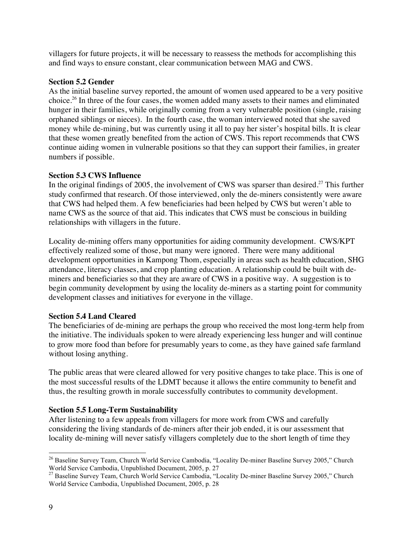villagers for future projects, it will be necessary to reassess the methods for accomplishing this and find ways to ensure constant, clear communication between MAG and CWS.

## **Section 5.2 Gender**

As the initial baseline survey reported, the amount of women used appeared to be a very positive choice.<sup>26</sup> In three of the four cases, the women added many assets to their names and eliminated hunger in their families, while originally coming from a very vulnerable position (single, raising orphaned siblings or nieces). In the fourth case, the woman interviewed noted that she saved money while de-mining, but was currently using it all to pay her sister's hospital bills. It is clear that these women greatly benefited from the action of CWS. This report recommends that CWS continue aiding women in vulnerable positions so that they can support their families, in greater numbers if possible.

## **Section 5.3 CWS Influence**

In the original findings of 2005, the involvement of CWS was sparser than desired.<sup>27</sup> This further study confirmed that research. Of those interviewed, only the de-miners consistently were aware that CWS had helped them. A few beneficiaries had been helped by CWS but weren't able to name CWS as the source of that aid. This indicates that CWS must be conscious in building relationships with villagers in the future.

Locality de-mining offers many opportunities for aiding community development. CWS/KPT effectively realized some of those, but many were ignored. There were many additional development opportunities in Kampong Thom, especially in areas such as health education, SHG attendance, literacy classes, and crop planting education. A relationship could be built with deminers and beneficiaries so that they are aware of CWS in a positive way. A suggestion is to begin community development by using the locality de-miners as a starting point for community development classes and initiatives for everyone in the village.

# **Section 5.4 Land Cleared**

The beneficiaries of de-mining are perhaps the group who received the most long-term help from the initiative. The individuals spoken to were already experiencing less hunger and will continue to grow more food than before for presumably years to come, as they have gained safe farmland without losing anything.

The public areas that were cleared allowed for very positive changes to take place. This is one of the most successful results of the LDMT because it allows the entire community to benefit and thus, the resulting growth in morale successfully contributes to community development.

# **Section 5.5 Long-Term Sustainability**

After listening to a few appeals from villagers for more work from CWS and carefully considering the living standards of de-miners after their job ended, it is our assessment that locality de-mining will never satisfy villagers completely due to the short length of time they

<sup>&</sup>lt;sup>26</sup> Baseline Survey Team, Church World Service Cambodia, "Locality De-miner Baseline Survey 2005," Church World Service Cambodia, Unpublished Document, 2005, p. 27<br><sup>27</sup> Baseline Survey Team, Church World Service Cambodia, "Locality De-miner Baseline Survey 2005," Church

World Service Cambodia, Unpublished Document, 2005, p. 28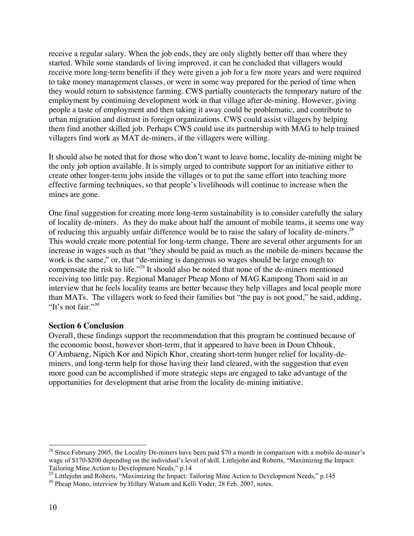receive a regular salary. When the job ends, they are only slightly better off than where they started. While some standards of living improved, it can be concluded that villagers would receive more long-term benefits if they were given a job for a few more years and were required to take money management classes, or were in some way prepared for the period of time when they would return to subsistence farming. CWS partially counteracts the temporary nature of the employment by continuing development work in that village after de-mining. However, giving people a taste of employment and then taking it away could be problematic, and contribute to urban migration and distrust in foreign organizations. CWS could assist villagers by helping them find another skilled job. Perhaps CWS could use its partnership with MAG to help trained villagers find work as MAT de-miners, if the villagers were willing.

It should also be noted that for those who don't want to leave home, locality de-mining might be the only job option available. It is simply urged to contribute support for an initiative either to create other longer-term jobs inside the villages or to put the same effort into teaching more effective farming techniques, so that people's livelihoods will continue to increase when the mines are gone.

One final suggestion for creating more long-term sustainability is to consider carefully the salary of locality de-miners. As they do make about half the amount of mobile teams, it seems one way of reducing this arguably unfair difference would be to raise the salary of locality de-miners.<sup>28</sup> This would create more potential for long-term change. There are several other arguments for an increase in wages such as that "they should be paid as much as the mobile de-miners because the work is the same," or, that "de-mining is dangerous so wages should be large enough to compensate the risk to life."29 It should also be noted that none of the de-miners mentioned receiving too little pay. Regional Manager Pheap Mono of MAG Kampong Thom said in an interview that he feels locality teams are better because they help villages and local people more than MATs. The villagers work to feed their families but "the pay is not good," he said, adding, "It's not fair."<sup>30</sup>

#### **Section 6 Conclusion**

Overall, these findings support the recommendation that this program be continued because of the economic boost, however short-term, that it appeared to have been in Doun Chhouk, O'Ambaeng, Nipich Kor and Nipich Khor, creating short-term hunger relief for locality-deminers, and long-term help for those having their land cleared, with the suggestion that even more good can be accomplished if more strategic steps are engaged to take advantage of the opportunities for development that arise from the locality de-mining initiative.

<sup>&</sup>lt;sup>28</sup> Since February 2005, the Locality De-miners have been paid \$70 a month in comparison with a mobile de-miner's wage of \$170-\$200 depending on the individual's level of skill. Littlejohn and Roberts, "Maximizing the Impact: Tailoring Mine Action to Development Needs," p.14

<sup>&</sup>lt;sup>29</sup> Littlejohn and Roberts, "Maximizing the Impact: Tailoring Mine Action to Development Needs," p.145  $^{30}$  Pheap Mono, interview by Hillary Watson and Kelli Yoder, 28 Feb. 2007, notes.